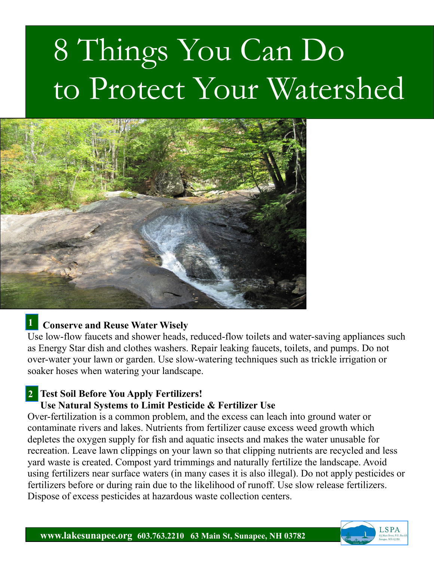# 8 Things You Can Do to Protect Your Watershed



## **Conserve and Reuse Water Wisely 1**

Use low-flow faucets and shower heads, reduced-flow toilets and water-saving appliances such as Energy Star dish and clothes washers. Repair leaking faucets, toilets, and pumps. Do not over-water your lawn or garden. Use slow-watering techniques such as trickle irrigation or soaker hoses when watering your landscape.

## **Test Soil Before You Apply Fertilizers! 2**

### **Use Natural Systems to Limit Pesticide & Fertilizer Use**

Over-fertilization is a common problem, and the excess can leach into ground water or contaminate rivers and lakes. Nutrients from fertilizer cause excess weed growth which depletes the oxygen supply for fish and aquatic insects and makes the water unusable for recreation. Leave lawn clippings on your lawn so that clipping nutrients are recycled and less yard waste is created. Compost yard trimmings and naturally fertilize the landscape. Avoid using fertilizers near surface waters (in many cases it is also illegal). Do not apply pesticides or fertilizers before or during rain due to the likelihood of runoff. Use slow release fertilizers. Dispose of excess pesticides at hazardous waste collection centers.